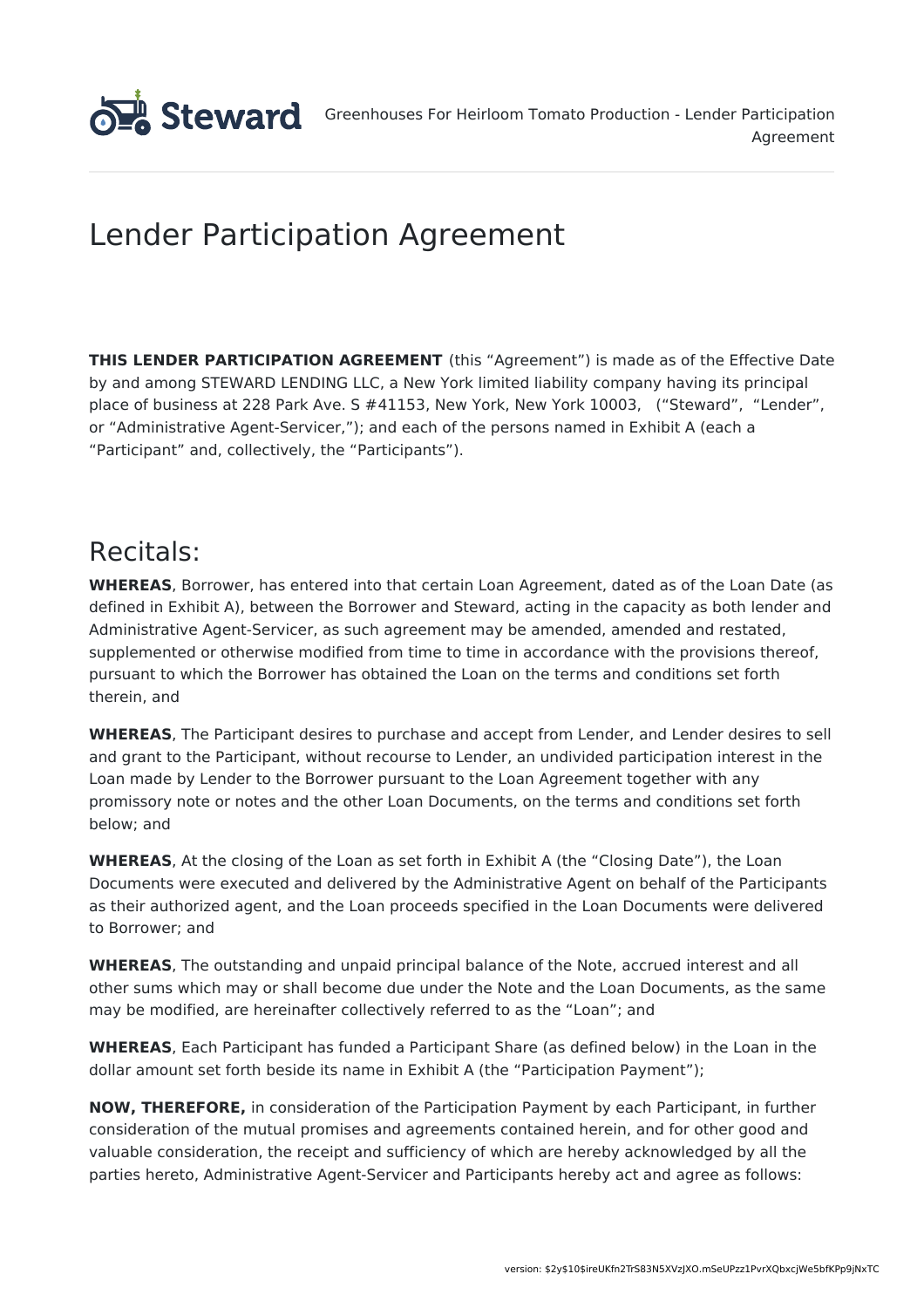

# Lender Participation Agreement

**THIS LENDER PARTICIPATION AGREEMENT** (this "Agreement") is made as of the Effective Date by and among STEWARD LENDING LLC, a New York limited liability company having its principal place of business at 228 Park Ave. S #41153, New York, New York 10003, ("Steward", "Lender", or "Administrative Agent-Servicer,"); and each of the persons named in Exhibit A (each a "Participant" and, collectively, the "Participants").

# Recitals:

**WHEREAS**, Borrower, has entered into that certain Loan Agreement, dated as of the Loan Date (as defined in Exhibit A), between the Borrower and Steward, acting in the capacity as both lender and Administrative Agent-Servicer, as such agreement may be amended, amended and restated, supplemented or otherwise modified from time to time in accordance with the provisions thereof, pursuant to which the Borrower has obtained the Loan on the terms and conditions set forth therein, and

**WHEREAS**, The Participant desires to purchase and accept from Lender, and Lender desires to sell and grant to the Participant, without recourse to Lender, an undivided participation interest in the Loan made by Lender to the Borrower pursuant to the Loan Agreement together with any promissory note or notes and the other Loan Documents, on the terms and conditions set forth below; and

**WHEREAS**, At the closing of the Loan as set forth in Exhibit A (the "Closing Date"), the Loan Documents were executed and delivered by the Administrative Agent on behalf of the Participants as their authorized agent, and the Loan proceeds specified in the Loan Documents were delivered to Borrower; and

**WHEREAS**, The outstanding and unpaid principal balance of the Note, accrued interest and all other sums which may or shall become due under the Note and the Loan Documents, as the same may be modified, are hereinafter collectively referred to as the "Loan"; and

**WHEREAS**, Each Participant has funded a Participant Share (as defined below) in the Loan in the dollar amount set forth beside its name in Exhibit A (the "Participation Payment");

**NOW, THEREFORE,** in consideration of the Participation Payment by each Participant, in further consideration of the mutual promises and agreements contained herein, and for other good and valuable consideration, the receipt and sufficiency of which are hereby acknowledged by all the parties hereto, Administrative Agent-Servicer and Participants hereby act and agree as follows: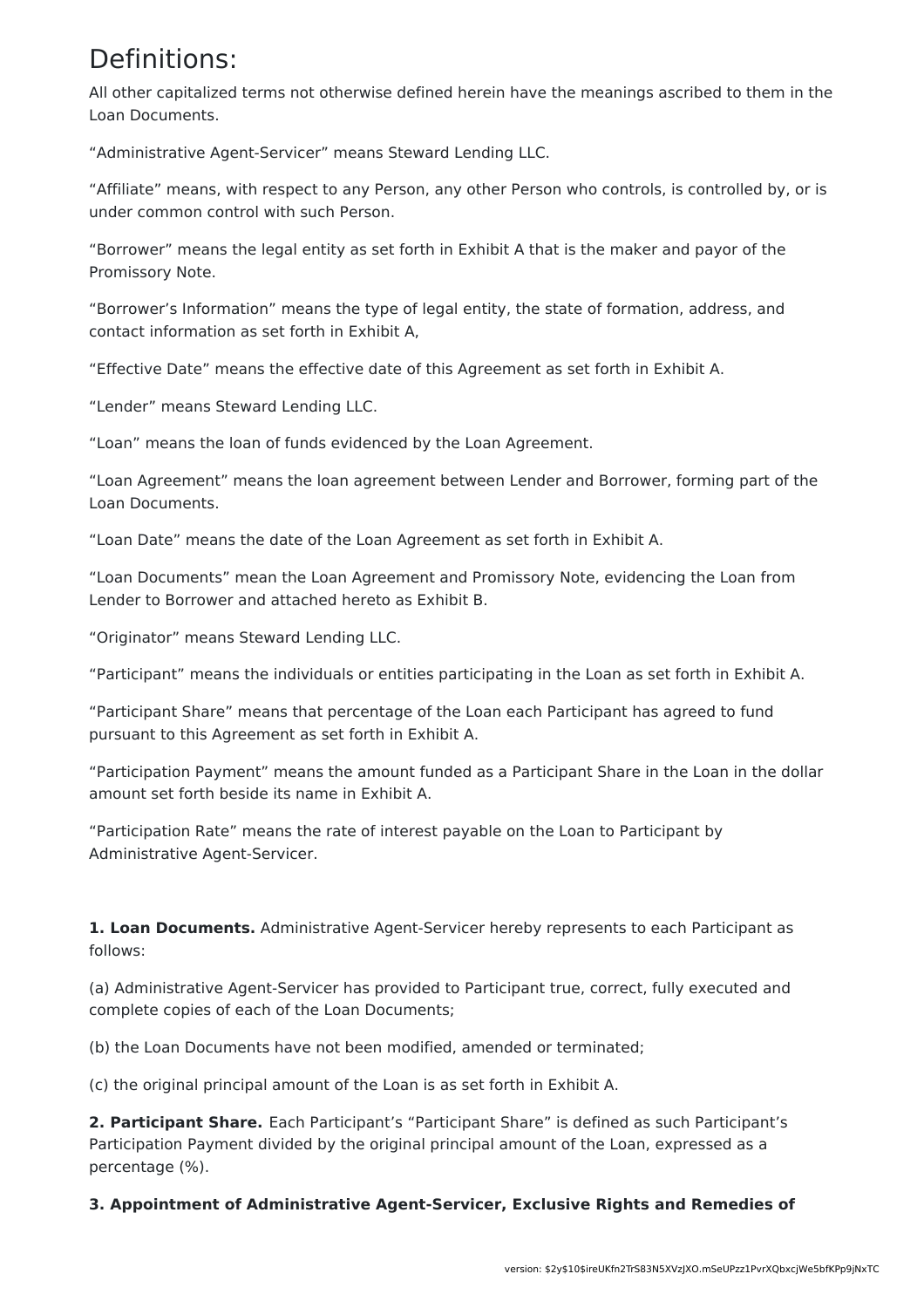## Definitions:

All other capitalized terms not otherwise defined herein have the meanings ascribed to them in the Loan Documents.

"Administrative Agent-Servicer" means Steward Lending LLC.

"Affiliate" means, with respect to any Person, any other Person who controls, is controlled by, or is under common control with such Person.

"Borrower" means the legal entity as set forth in Exhibit A that is the maker and payor of the Promissory Note.

"Borrower's Information" means the type of legal entity, the state of formation, address, and contact information as set forth in Exhibit A,

"Effective Date" means the effective date of this Agreement as set forth in Exhibit A.

"Lender" means Steward Lending LLC.

"Loan" means the loan of funds evidenced by the Loan Agreement.

"Loan Agreement" means the loan agreement between Lender and Borrower, forming part of the Loan Documents.

"Loan Date" means the date of the Loan Agreement as set forth in Exhibit A.

"Loan Documents" mean the Loan Agreement and Promissory Note, evidencing the Loan from Lender to Borrower and attached hereto as Exhibit B.

"Originator" means Steward Lending LLC.

"Participant" means the individuals or entities participating in the Loan as set forth in Exhibit A.

"Participant Share" means that percentage of the Loan each Participant has agreed to fund pursuant to this Agreement as set forth in Exhibit A.

"Participation Payment" means the amount funded as a Participant Share in the Loan in the dollar amount set forth beside its name in Exhibit A.

"Participation Rate" means the rate of interest payable on the Loan to Participant by Administrative Agent-Servicer.

**1. Loan Documents.** Administrative Agent-Servicer hereby represents to each Participant as follows:

(a) Administrative Agent-Servicer has provided to Participant true, correct, fully executed and complete copies of each of the Loan Documents;

(b) the Loan Documents have not been modified, amended or terminated;

(c) the original principal amount of the Loan is as set forth in Exhibit A.

**2. Participant Share.** Each Participant's "Participant Share" is defined as such Participant's Participation Payment divided by the original principal amount of the Loan, expressed as a percentage (%).

**3. Appointment of Administrative Agent-Servicer, Exclusive Rights and Remedies of**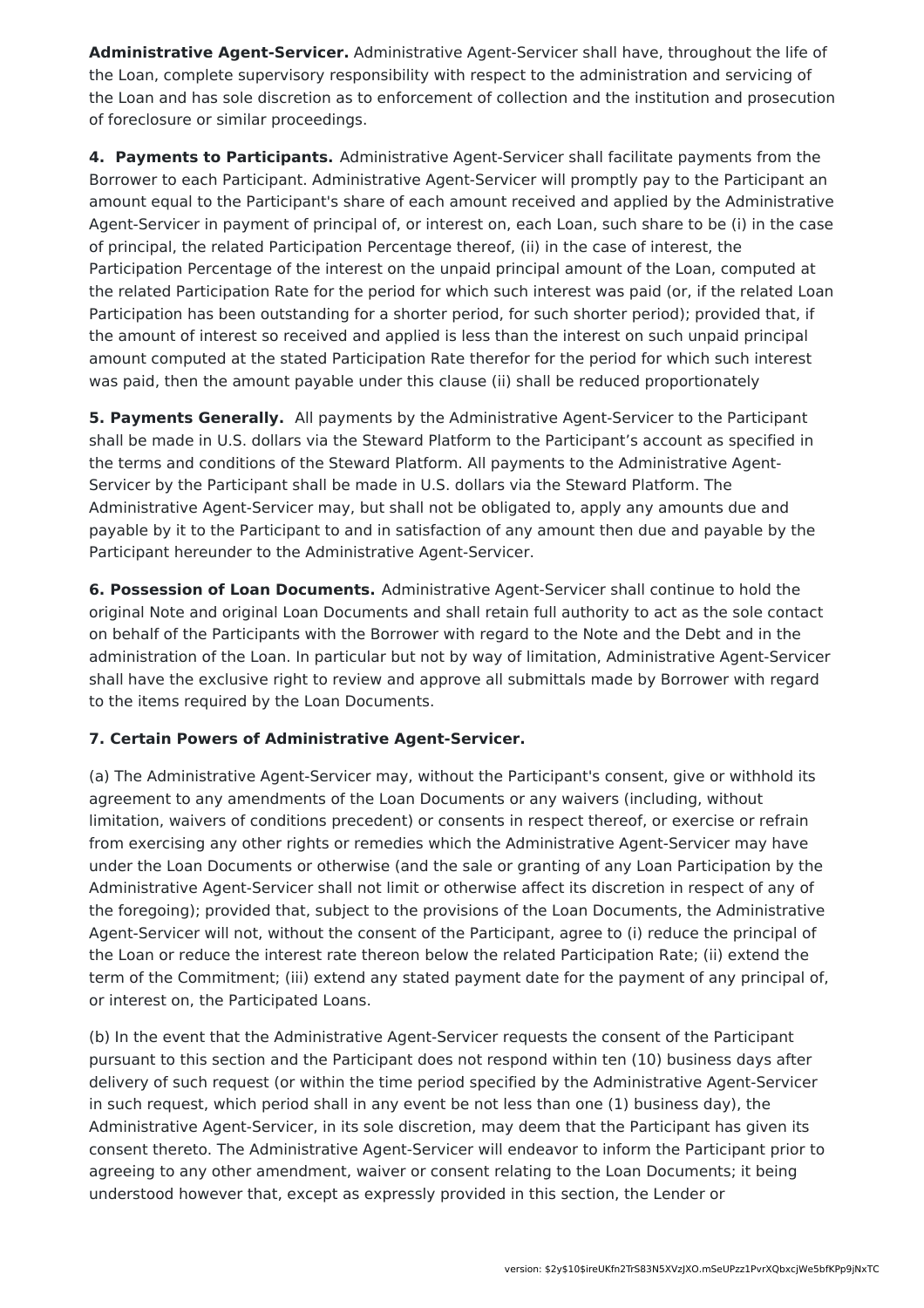**Administrative Agent-Servicer.** Administrative Agent-Servicer shall have, throughout the life of the Loan, complete supervisory responsibility with respect to the administration and servicing of the Loan and has sole discretion as to enforcement of collection and the institution and prosecution of foreclosure or similar proceedings.

**4. Payments to Participants.** Administrative Agent-Servicer shall facilitate payments from the Borrower to each Participant. Administrative Agent-Servicer will promptly pay to the Participant an amount equal to the Participant's share of each amount received and applied by the Administrative Agent-Servicer in payment of principal of, or interest on, each Loan, such share to be (i) in the case of principal, the related Participation Percentage thereof, (ii) in the case of interest, the Participation Percentage of the interest on the unpaid principal amount of the Loan, computed at the related Participation Rate for the period for which such interest was paid (or, if the related Loan Participation has been outstanding for a shorter period, for such shorter period); provided that, if the amount of interest so received and applied is less than the interest on such unpaid principal amount computed at the stated Participation Rate therefor for the period for which such interest was paid, then the amount payable under this clause (ii) shall be reduced proportionately

**5. Payments Generally.** All payments by the Administrative Agent-Servicer to the Participant shall be made in U.S. dollars via the Steward Platform to the Participant's account as specified in the terms and conditions of the Steward Platform. All payments to the Administrative Agent-Servicer by the Participant shall be made in U.S. dollars via the Steward Platform. The Administrative Agent-Servicer may, but shall not be obligated to, apply any amounts due and payable by it to the Participant to and in satisfaction of any amount then due and payable by the Participant hereunder to the Administrative Agent-Servicer.

**6. Possession of Loan Documents.** Administrative Agent-Servicer shall continue to hold the original Note and original Loan Documents and shall retain full authority to act as the sole contact on behalf of the Participants with the Borrower with regard to the Note and the Debt and in the administration of the Loan. In particular but not by way of limitation, Administrative Agent-Servicer shall have the exclusive right to review and approve all submittals made by Borrower with regard to the items required by the Loan Documents.

### **7. Certain Powers of Administrative Agent-Servicer.**

(a) The Administrative Agent-Servicer may, without the Participant's consent, give or withhold its agreement to any amendments of the Loan Documents or any waivers (including, without limitation, waivers of conditions precedent) or consents in respect thereof, or exercise or refrain from exercising any other rights or remedies which the Administrative Agent-Servicer may have under the Loan Documents or otherwise (and the sale or granting of any Loan Participation by the Administrative Agent-Servicer shall not limit or otherwise affect its discretion in respect of any of the foregoing); provided that, subject to the provisions of the Loan Documents, the Administrative Agent-Servicer will not, without the consent of the Participant, agree to (i) reduce the principal of the Loan or reduce the interest rate thereon below the related Participation Rate; (ii) extend the term of the Commitment; (iii) extend any stated payment date for the payment of any principal of, or interest on, the Participated Loans.

(b) In the event that the Administrative Agent-Servicer requests the consent of the Participant pursuant to this section and the Participant does not respond within ten (10) business days after delivery of such request (or within the time period specified by the Administrative Agent-Servicer in such request, which period shall in any event be not less than one (1) business day), the Administrative Agent-Servicer, in its sole discretion, may deem that the Participant has given its consent thereto. The Administrative Agent-Servicer will endeavor to inform the Participant prior to agreeing to any other amendment, waiver or consent relating to the Loan Documents; it being understood however that, except as expressly provided in this section, the Lender or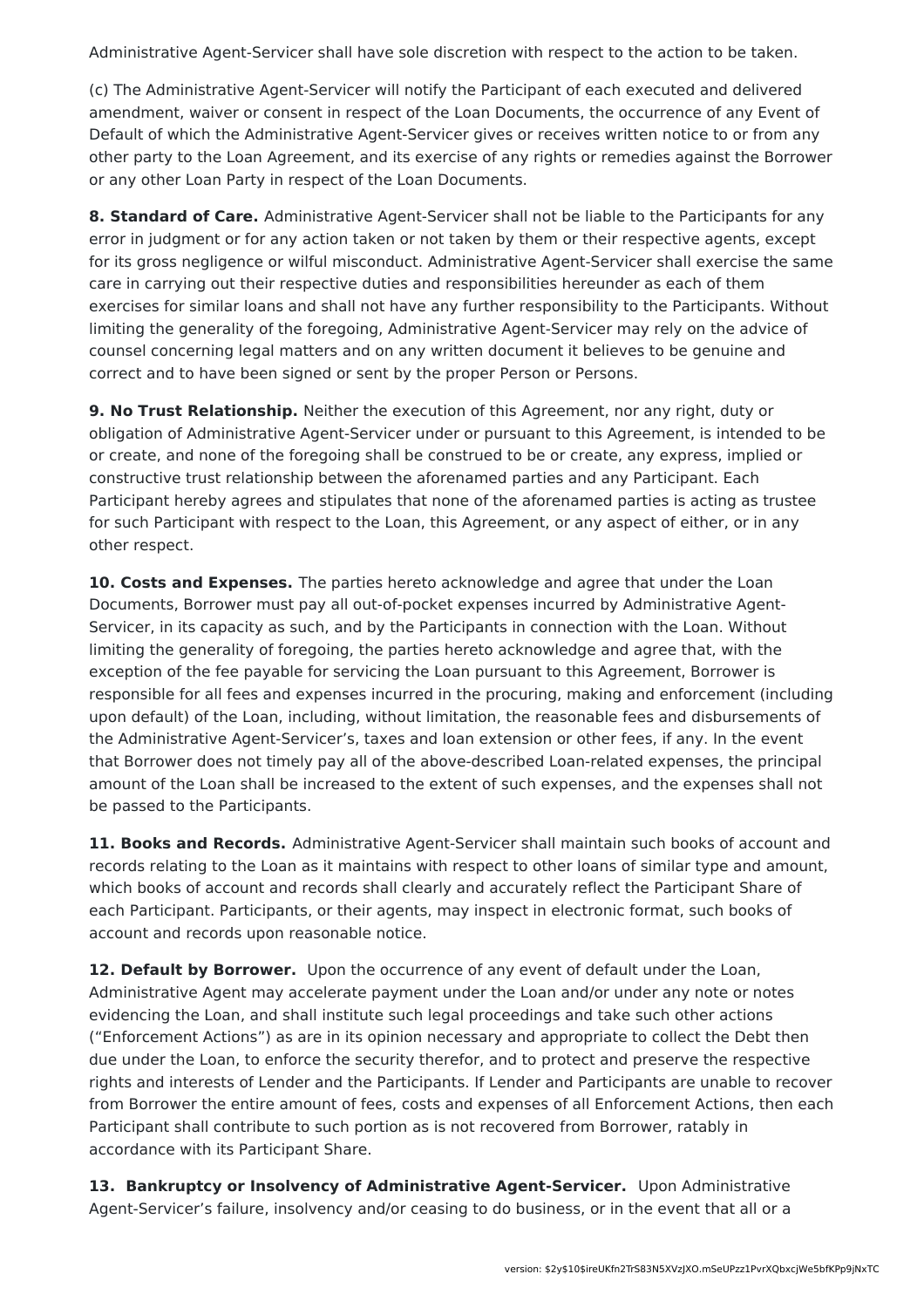Administrative Agent-Servicer shall have sole discretion with respect to the action to be taken.

(c) The Administrative Agent-Servicer will notify the Participant of each executed and delivered amendment, waiver or consent in respect of the Loan Documents, the occurrence of any Event of Default of which the Administrative Agent-Servicer gives or receives written notice to or from any other party to the Loan Agreement, and its exercise of any rights or remedies against the Borrower or any other Loan Party in respect of the Loan Documents.

**8. Standard of Care.** Administrative Agent-Servicer shall not be liable to the Participants for any error in judgment or for any action taken or not taken by them or their respective agents, except for its gross negligence or wilful misconduct. Administrative Agent-Servicer shall exercise the same care in carrying out their respective duties and responsibilities hereunder as each of them exercises for similar loans and shall not have any further responsibility to the Participants. Without limiting the generality of the foregoing, Administrative Agent-Servicer may rely on the advice of counsel concerning legal matters and on any written document it believes to be genuine and correct and to have been signed or sent by the proper Person or Persons.

**9. No Trust Relationship.** Neither the execution of this Agreement, nor any right, duty or obligation of Administrative Agent-Servicer under or pursuant to this Agreement, is intended to be or create, and none of the foregoing shall be construed to be or create, any express, implied or constructive trust relationship between the aforenamed parties and any Participant. Each Participant hereby agrees and stipulates that none of the aforenamed parties is acting as trustee for such Participant with respect to the Loan, this Agreement, or any aspect of either, or in any other respect.

**10. Costs and Expenses.** The parties hereto acknowledge and agree that under the Loan Documents, Borrower must pay all out-of-pocket expenses incurred by Administrative Agent-Servicer, in its capacity as such, and by the Participants in connection with the Loan. Without limiting the generality of foregoing, the parties hereto acknowledge and agree that, with the exception of the fee payable for servicing the Loan pursuant to this Agreement, Borrower is responsible for all fees and expenses incurred in the procuring, making and enforcement (including upon default) of the Loan, including, without limitation, the reasonable fees and disbursements of the Administrative Agent-Servicer's, taxes and loan extension or other fees, if any. In the event that Borrower does not timely pay all of the above-described Loan-related expenses, the principal amount of the Loan shall be increased to the extent of such expenses, and the expenses shall not be passed to the Participants.

**11. Books and Records.** Administrative Agent-Servicer shall maintain such books of account and records relating to the Loan as it maintains with respect to other loans of similar type and amount, which books of account and records shall clearly and accurately reflect the Participant Share of each Participant. Participants, or their agents, may inspect in electronic format, such books of account and records upon reasonable notice.

**12. Default by Borrower.** Upon the occurrence of any event of default under the Loan, Administrative Agent may accelerate payment under the Loan and/or under any note or notes evidencing the Loan, and shall institute such legal proceedings and take such other actions ("Enforcement Actions") as are in its opinion necessary and appropriate to collect the Debt then due under the Loan, to enforce the security therefor, and to protect and preserve the respective rights and interests of Lender and the Participants. If Lender and Participants are unable to recover from Borrower the entire amount of fees, costs and expenses of all Enforcement Actions, then each Participant shall contribute to such portion as is not recovered from Borrower, ratably in accordance with its Participant Share.

**13. Bankruptcy or Insolvency of Administrative Agent-Servicer.** Upon Administrative Agent-Servicer's failure, insolvency and/or ceasing to do business, or in the event that all or a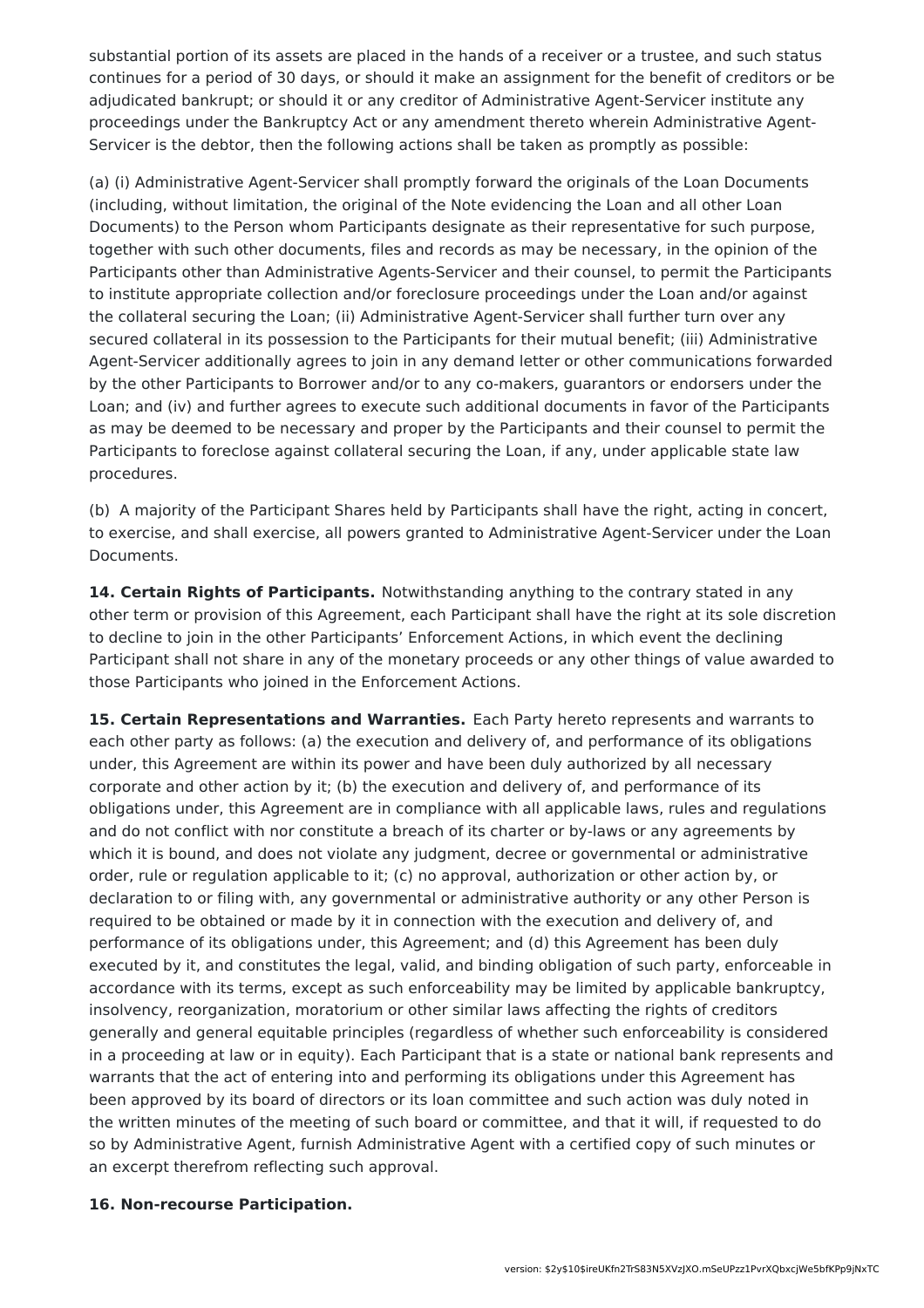substantial portion of its assets are placed in the hands of a receiver or a trustee, and such status continues for a period of 30 days, or should it make an assignment for the benefit of creditors or be adjudicated bankrupt; or should it or any creditor of Administrative Agent-Servicer institute any proceedings under the Bankruptcy Act or any amendment thereto wherein Administrative Agent-Servicer is the debtor, then the following actions shall be taken as promptly as possible:

(a) (i) Administrative Agent-Servicer shall promptly forward the originals of the Loan Documents (including, without limitation, the original of the Note evidencing the Loan and all other Loan Documents) to the Person whom Participants designate as their representative for such purpose, together with such other documents, files and records as may be necessary, in the opinion of the Participants other than Administrative Agents-Servicer and their counsel, to permit the Participants to institute appropriate collection and/or foreclosure proceedings under the Loan and/or against the collateral securing the Loan; (ii) Administrative Agent-Servicer shall further turn over any secured collateral in its possession to the Participants for their mutual benefit; (iii) Administrative Agent-Servicer additionally agrees to join in any demand letter or other communications forwarded by the other Participants to Borrower and/or to any co-makers, guarantors or endorsers under the Loan; and (iv) and further agrees to execute such additional documents in favor of the Participants as may be deemed to be necessary and proper by the Participants and their counsel to permit the Participants to foreclose against collateral securing the Loan, if any, under applicable state law procedures.

(b) A majority of the Participant Shares held by Participants shall have the right, acting in concert, to exercise, and shall exercise, all powers granted to Administrative Agent-Servicer under the Loan Documents.

**14. Certain Rights of Participants.** Notwithstanding anything to the contrary stated in any other term or provision of this Agreement, each Participant shall have the right at its sole discretion to decline to join in the other Participants' Enforcement Actions, in which event the declining Participant shall not share in any of the monetary proceeds or any other things of value awarded to those Participants who joined in the Enforcement Actions.

**15. Certain Representations and Warranties.** Each Party hereto represents and warrants to each other party as follows: (a) the execution and delivery of, and performance of its obligations under, this Agreement are within its power and have been duly authorized by all necessary corporate and other action by it; (b) the execution and delivery of, and performance of its obligations under, this Agreement are in compliance with all applicable laws, rules and regulations and do not conflict with nor constitute a breach of its charter or by-laws or any agreements by which it is bound, and does not violate any judgment, decree or governmental or administrative order, rule or regulation applicable to it; (c) no approval, authorization or other action by, or declaration to or filing with, any governmental or administrative authority or any other Person is required to be obtained or made by it in connection with the execution and delivery of, and performance of its obligations under, this Agreement; and (d) this Agreement has been duly executed by it, and constitutes the legal, valid, and binding obligation of such party, enforceable in accordance with its terms, except as such enforceability may be limited by applicable bankruptcy, insolvency, reorganization, moratorium or other similar laws affecting the rights of creditors generally and general equitable principles (regardless of whether such enforceability is considered in a proceeding at law or in equity). Each Participant that is a state or national bank represents and warrants that the act of entering into and performing its obligations under this Agreement has been approved by its board of directors or its loan committee and such action was duly noted in the written minutes of the meeting of such board or committee, and that it will, if requested to do so by Administrative Agent, furnish Administrative Agent with a certified copy of such minutes or an excerpt therefrom reflecting such approval.

#### **16. Non-recourse Participation.**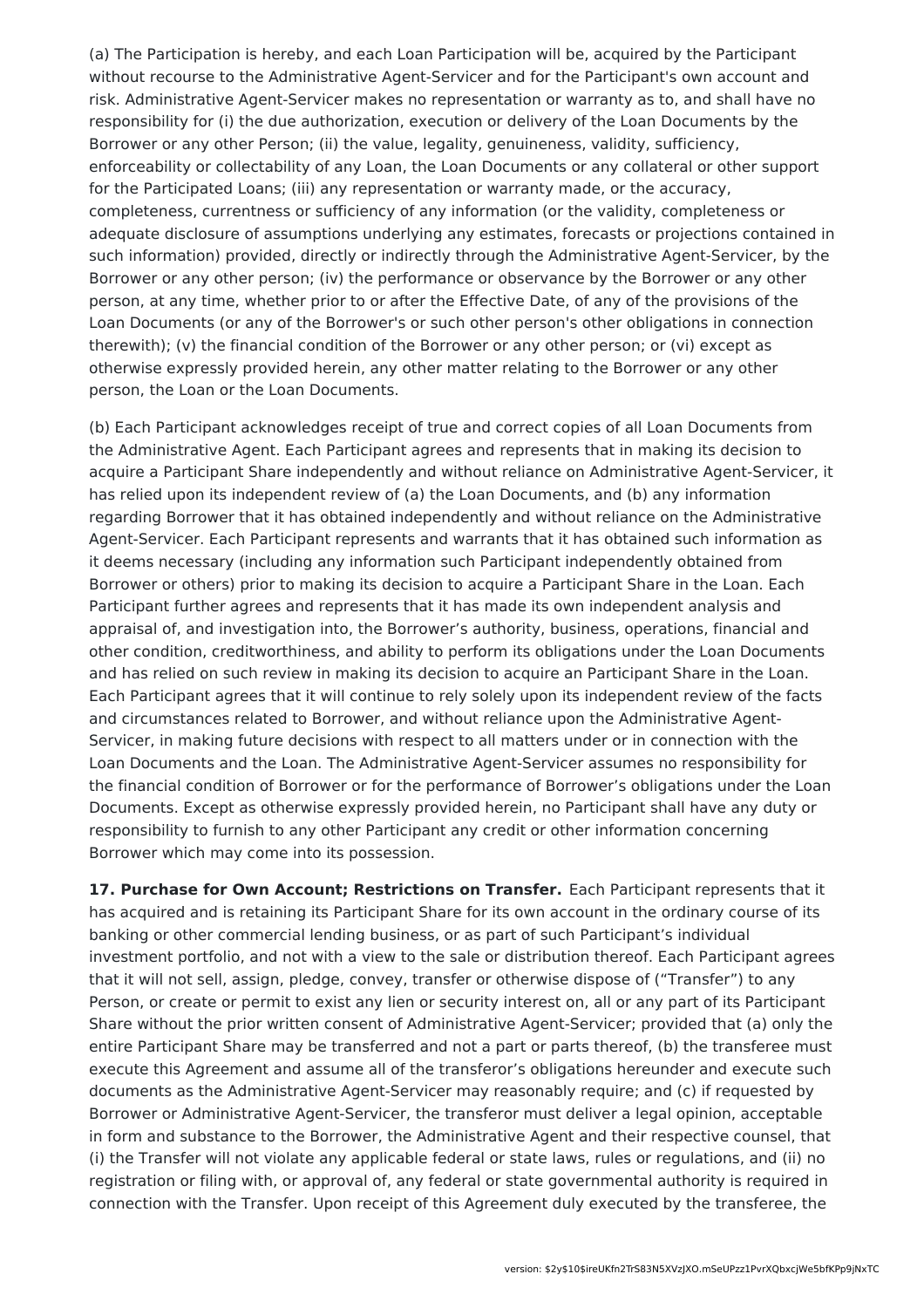(a) The Participation is hereby, and each Loan Participation will be, acquired by the Participant without recourse to the Administrative Agent-Servicer and for the Participant's own account and risk. Administrative Agent-Servicer makes no representation or warranty as to, and shall have no responsibility for (i) the due authorization, execution or delivery of the Loan Documents by the Borrower or any other Person; (ii) the value, legality, genuineness, validity, sufficiency, enforceability or collectability of any Loan, the Loan Documents or any collateral or other support for the Participated Loans; (iii) any representation or warranty made, or the accuracy, completeness, currentness or sufficiency of any information (or the validity, completeness or adequate disclosure of assumptions underlying any estimates, forecasts or projections contained in such information) provided, directly or indirectly through the Administrative Agent-Servicer, by the Borrower or any other person; (iv) the performance or observance by the Borrower or any other person, at any time, whether prior to or after the Effective Date, of any of the provisions of the Loan Documents (or any of the Borrower's or such other person's other obligations in connection therewith); (v) the financial condition of the Borrower or any other person; or (vi) except as otherwise expressly provided herein, any other matter relating to the Borrower or any other person, the Loan or the Loan Documents.

(b) Each Participant acknowledges receipt of true and correct copies of all Loan Documents from the Administrative Agent. Each Participant agrees and represents that in making its decision to acquire a Participant Share independently and without reliance on Administrative Agent-Servicer, it has relied upon its independent review of (a) the Loan Documents, and (b) any information regarding Borrower that it has obtained independently and without reliance on the Administrative Agent-Servicer. Each Participant represents and warrants that it has obtained such information as it deems necessary (including any information such Participant independently obtained from Borrower or others) prior to making its decision to acquire a Participant Share in the Loan. Each Participant further agrees and represents that it has made its own independent analysis and appraisal of, and investigation into, the Borrower's authority, business, operations, financial and other condition, creditworthiness, and ability to perform its obligations under the Loan Documents and has relied on such review in making its decision to acquire an Participant Share in the Loan. Each Participant agrees that it will continue to rely solely upon its independent review of the facts and circumstances related to Borrower, and without reliance upon the Administrative Agent-Servicer, in making future decisions with respect to all matters under or in connection with the Loan Documents and the Loan. The Administrative Agent-Servicer assumes no responsibility for the financial condition of Borrower or for the performance of Borrower's obligations under the Loan Documents. Except as otherwise expressly provided herein, no Participant shall have any duty or responsibility to furnish to any other Participant any credit or other information concerning Borrower which may come into its possession.

**17. Purchase for Own Account; Restrictions on Transfer.** Each Participant represents that it has acquired and is retaining its Participant Share for its own account in the ordinary course of its banking or other commercial lending business, or as part of such Participant's individual investment portfolio, and not with a view to the sale or distribution thereof. Each Participant agrees that it will not sell, assign, pledge, convey, transfer or otherwise dispose of ("Transfer") to any Person, or create or permit to exist any lien or security interest on, all or any part of its Participant Share without the prior written consent of Administrative Agent-Servicer; provided that (a) only the entire Participant Share may be transferred and not a part or parts thereof, (b) the transferee must execute this Agreement and assume all of the transferor's obligations hereunder and execute such documents as the Administrative Agent-Servicer may reasonably require; and (c) if requested by Borrower or Administrative Agent-Servicer, the transferor must deliver a legal opinion, acceptable in form and substance to the Borrower, the Administrative Agent and their respective counsel, that (i) the Transfer will not violate any applicable federal or state laws, rules or regulations, and (ii) no registration or filing with, or approval of, any federal or state governmental authority is required in connection with the Transfer. Upon receipt of this Agreement duly executed by the transferee, the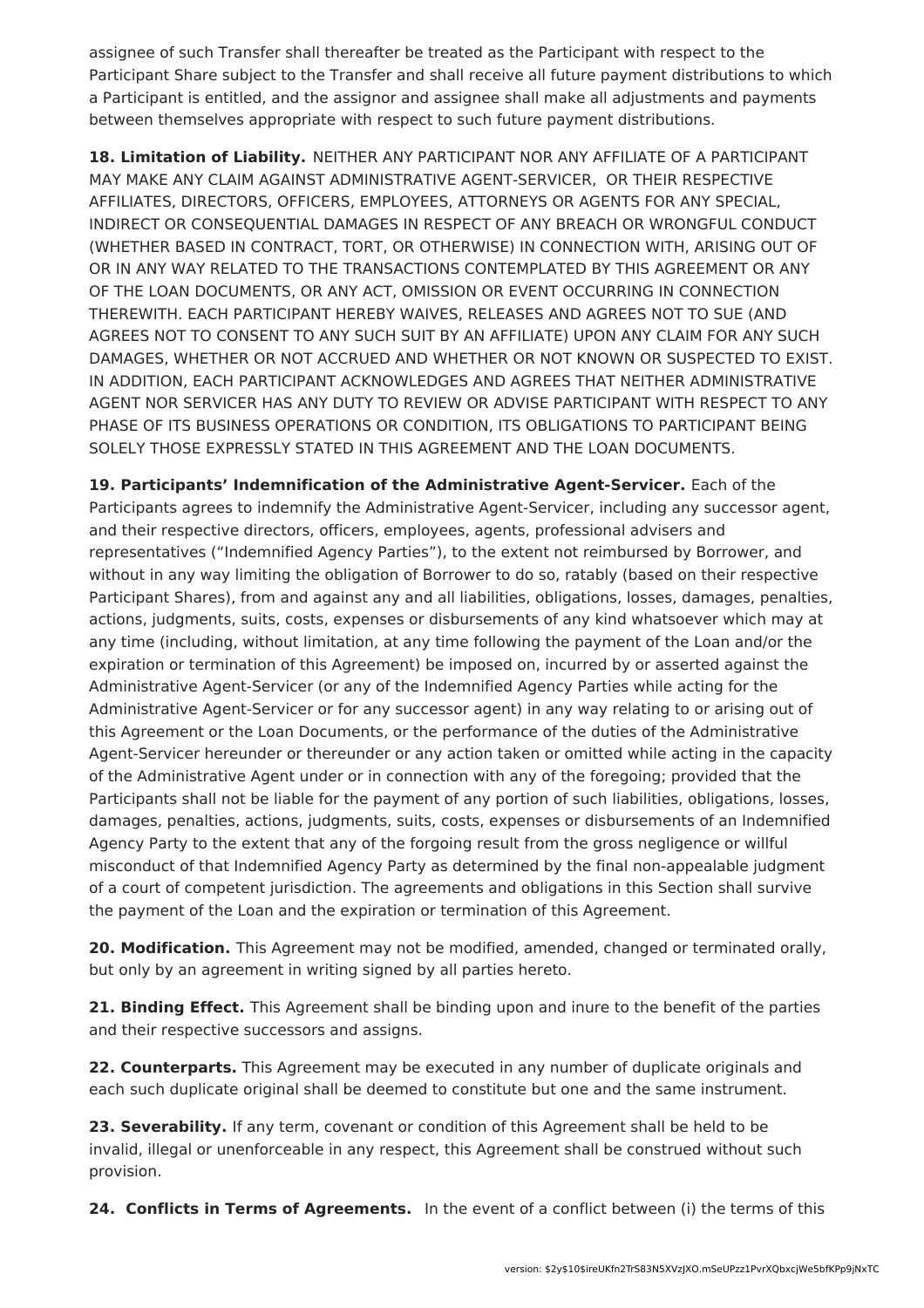assignee of such Transfer shall thereafter be treated as the Participant with respect to the Participant Share subject to the Transfer and shall receive all future payment distributions to which a Participant is entitled, and the assignor and assignee shall make all adjustments and payments between themselves appropriate with respect to such future payment distributions.

**18. Limitation of Liability.** NEITHER ANY PARTICIPANT NOR ANY AFFILIATE OF A PARTICIPANT MAY MAKE ANY CLAIM AGAINST ADMINISTRATIVE AGENT-SERVICER, OR THEIR RESPECTIVE AFFILIATES, DIRECTORS, OFFICERS, EMPLOYEES, ATTORNEYS OR AGENTS FOR ANY SPECIAL, INDIRECT OR CONSEQUENTIAL DAMAGES IN RESPECT OF ANY BREACH OR WRONGFUL CONDUCT (WHETHER BASED IN CONTRACT, TORT, OR OTHERWISE) IN CONNECTION WITH, ARISING OUT OF OR IN ANY WAY RELATED TO THE TRANSACTIONS CONTEMPLATED BY THIS AGREEMENT OR ANY OF THE LOAN DOCUMENTS, OR ANY ACT, OMISSION OR EVENT OCCURRING IN CONNECTION THEREWITH. EACH PARTICIPANT HEREBY WAIVES, RELEASES AND AGREES NOT TO SUE (AND AGREES NOT TO CONSENT TO ANY SUCH SUIT BY AN AFFILIATE) UPON ANY CLAIM FOR ANY SUCH DAMAGES, WHETHER OR NOT ACCRUED AND WHETHER OR NOT KNOWN OR SUSPECTED TO EXIST. IN ADDITION, EACH PARTICIPANT ACKNOWLEDGES AND AGREES THAT NEITHER ADMINISTRATIVE AGENT NOR SERVICER HAS ANY DUTY TO REVIEW OR ADVISE PARTICIPANT WITH RESPECT TO ANY PHASE OF ITS BUSINESS OPERATIONS OR CONDITION, ITS OBLIGATIONS TO PARTICIPANT BEING SOLELY THOSE EXPRESSLY STATED IN THIS AGREEMENT AND THE LOAN DOCUMENTS.

**19. Participants' Indemnification of the Administrative Agent-Servicer.** Each of the Participants agrees to indemnify the Administrative Agent-Servicer, including any successor agent, and their respective directors, officers, employees, agents, professional advisers and representatives ("Indemnified Agency Parties"), to the extent not reimbursed by Borrower, and without in any way limiting the obligation of Borrower to do so, ratably (based on their respective Participant Shares), from and against any and all liabilities, obligations, losses, damages, penalties, actions, judgments, suits, costs, expenses or disbursements of any kind whatsoever which may at any time (including, without limitation, at any time following the payment of the Loan and/or the expiration or termination of this Agreement) be imposed on, incurred by or asserted against the Administrative Agent-Servicer (or any of the Indemnified Agency Parties while acting for the Administrative Agent-Servicer or for any successor agent) in any way relating to or arising out of this Agreement or the Loan Documents, or the performance of the duties of the Administrative Agent-Servicer hereunder or thereunder or any action taken or omitted while acting in the capacity of the Administrative Agent under or in connection with any of the foregoing; provided that the Participants shall not be liable for the payment of any portion of such liabilities, obligations, losses, damages, penalties, actions, judgments, suits, costs, expenses or disbursements of an Indemnified Agency Party to the extent that any of the forgoing result from the gross negligence or willful misconduct of that Indemnified Agency Party as determined by the final non-appealable judgment of a court of competent jurisdiction. The agreements and obligations in this Section shall survive the payment of the Loan and the expiration or termination of this Agreement.

**20. Modification.** This Agreement may not be modified, amended, changed or terminated orally, but only by an agreement in writing signed by all parties hereto.

**21. Binding Effect.** This Agreement shall be binding upon and inure to the benefit of the parties and their respective successors and assigns.

**22. Counterparts.** This Agreement may be executed in any number of duplicate originals and each such duplicate original shall be deemed to constitute but one and the same instrument.

**23. Severability.** If any term, covenant or condition of this Agreement shall be held to be invalid, illegal or unenforceable in any respect, this Agreement shall be construed without such provision.

**24. Conflicts in Terms of Agreements.** In the event of a conflict between (i) the terms of this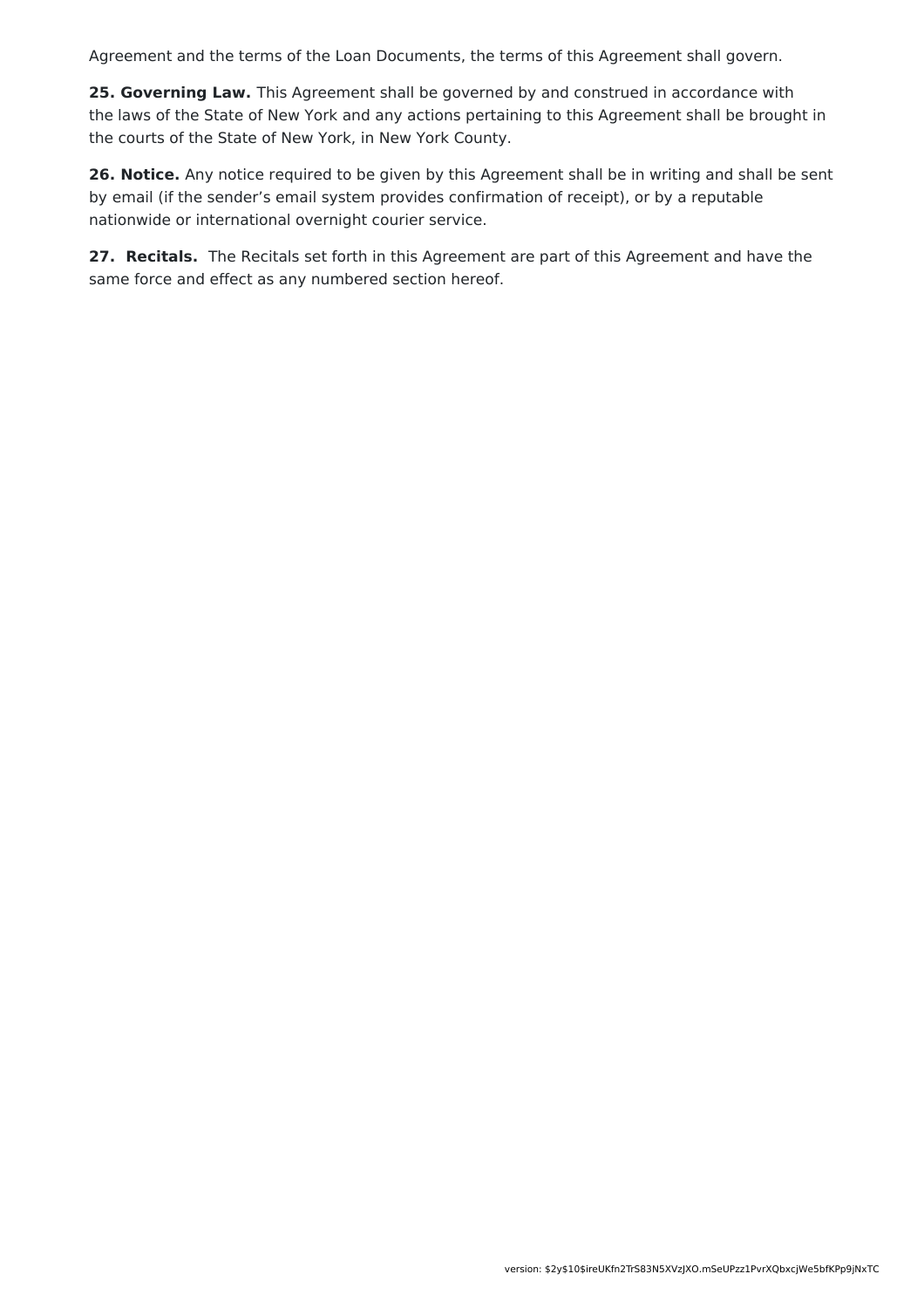Agreement and the terms of the Loan Documents, the terms of this Agreement shall govern.

**25. Governing Law.** This Agreement shall be governed by and construed in accordance with the laws of the State of New York and any actions pertaining to this Agreement shall be brought in the courts of the State of New York, in New York County.

**26. Notice.** Any notice required to be given by this Agreement shall be in writing and shall be sent by email (if the sender's email system provides confirmation of receipt), or by a reputable nationwide or international overnight courier service.

**27. Recitals.** The Recitals set forth in this Agreement are part of this Agreement and have the same force and effect as any numbered section hereof.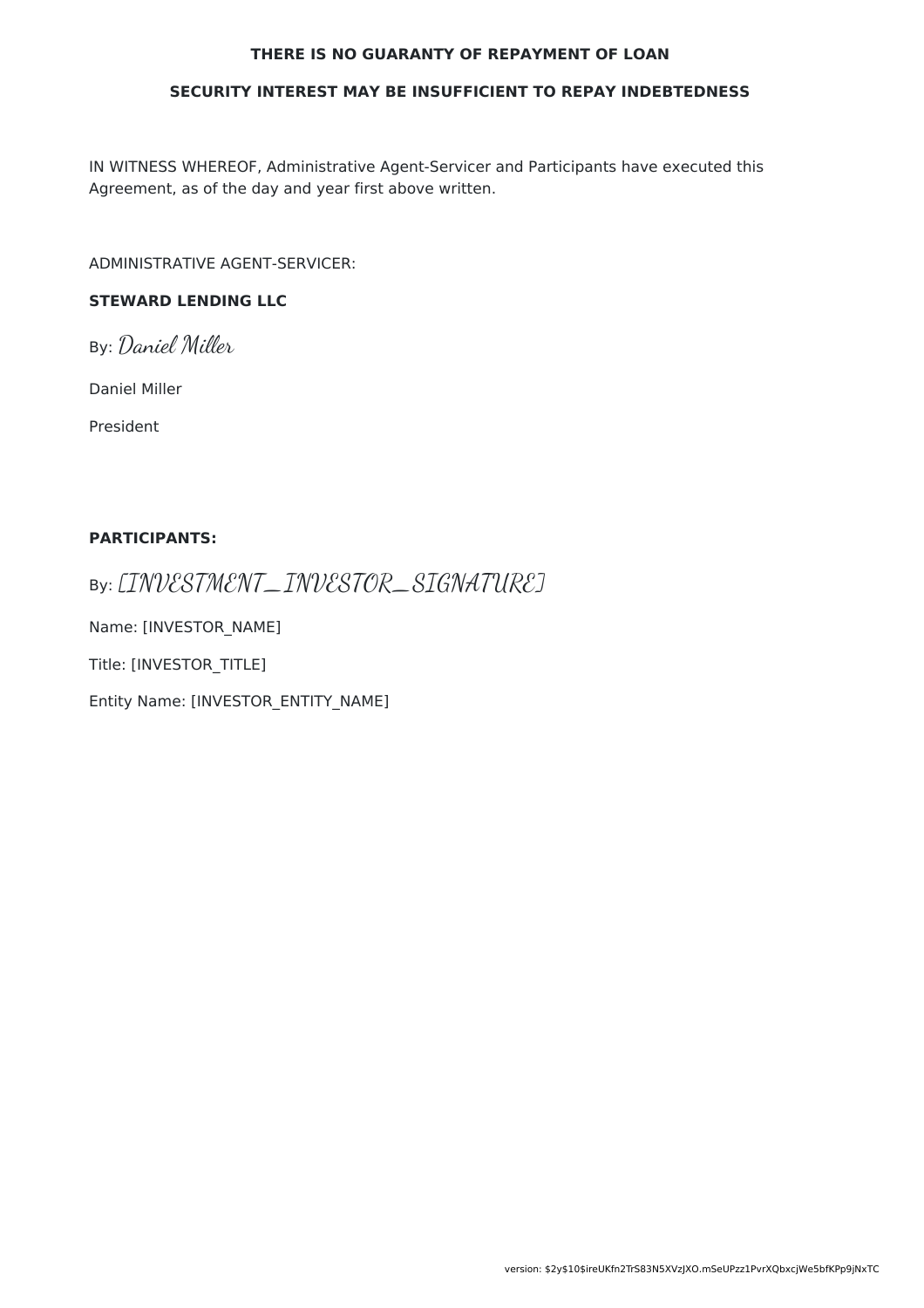#### **THERE IS NO GUARANTY OF REPAYMENT OF LOAN**

#### **SECURITY INTEREST MAY BE INSUFFICIENT TO REPAY INDEBTEDNESS**

IN WITNESS WHEREOF, Administrative Agent-Servicer and Participants have executed this Agreement, as of the day and year first above written.

ADMINISTRATIVE AGENT-SERVICER:

### **STEWARD LENDING LLC**

By: Daniel Miller

Daniel Miller

President

#### **PARTICIPANTS:**

By: [INVESTMENT\_INVESTOR\_SIGNATURE]

Name: [INVESTOR\_NAME]

Title: [INVESTOR\_TITLE]

Entity Name: [INVESTOR\_ENTITY\_NAME]